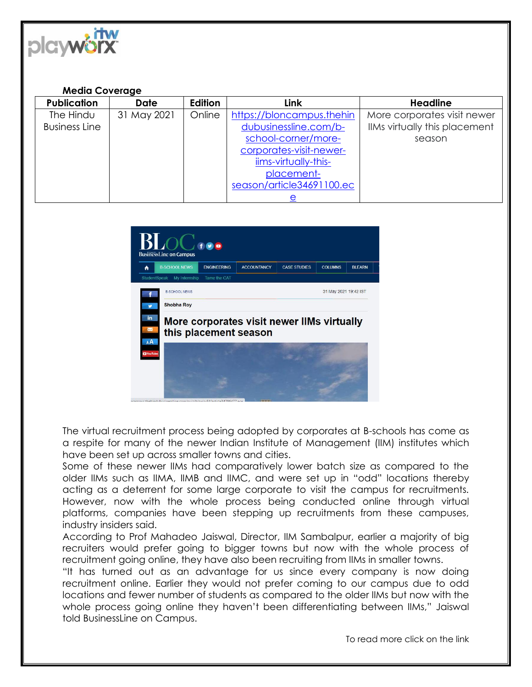

## **Media Coverage**

| <b>Publication</b>   | <b>Date</b> | <b>Edition</b> | Link                      | <b>Headline</b>               |
|----------------------|-------------|----------------|---------------------------|-------------------------------|
| The Hindu            | 31 May 2021 | Online         | https://bloncampus.thehin | More corporates visit newer   |
| <b>Business Line</b> |             |                | dubusinessline.com/b-     | IIMs virtually this placement |
|                      |             |                | school-corner/more-       | season                        |
|                      |             |                | corporates-visit-newer-   |                               |
|                      |             |                | iims-virtually-this-      |                               |
|                      |             |                | placement-                |                               |
|                      |             |                | season/article34691100.ec |                               |
|                      |             |                | <u>e</u>                  |                               |



The virtual recruitment process being adopted by corporates at B-schools has come as a respite for many of the newer Indian Institute of Management (IIM) institutes which have been set up across smaller towns and cities.

Some of these newer IIMs had comparatively lower batch size as compared to the older IIMs such as IIMA, IIMB and IIMC, and were set up in "odd" locations thereby acting as a deterrent for some large corporate to visit the campus for recruitments. However, now with the whole process being conducted online through virtual platforms, companies have been stepping up recruitments from these campuses, industry insiders said.

According to Prof Mahadeo Jaiswal, Director, IIM Sambalpur, earlier a majority of big recruiters would prefer going to bigger towns but now with the whole process of recruitment going online, they have also been recruiting from IIMs in smaller towns.

"It has turned out as an advantage for us since every company is now doing recruitment online. Earlier they would not prefer coming to our campus due to odd locations and fewer number of students as compared to the older IIMs but now with the whole process going online they haven't been differentiating between IIMs," Jaiswal told BusinessLine on Campus.

To read more click on the link